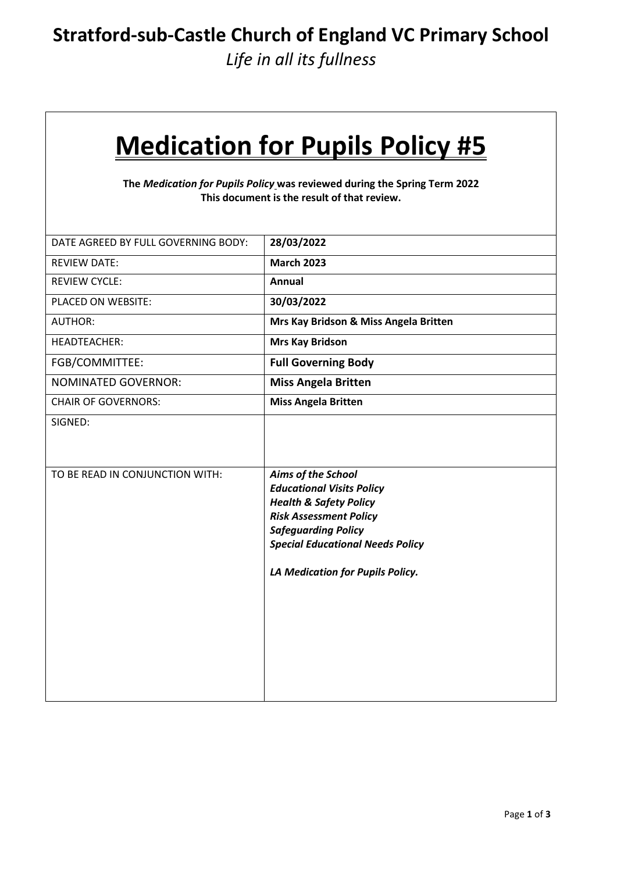### **Stratford-sub-Castle Church of England VC Primary School**

*Life in all its fullness*

# **Medication for Pupils Policy #5**

**The** *Medication for Pupils Policy* **was reviewed during the Spring Term 2022 This document is the result of that review.** 

| DATE AGREED BY FULL GOVERNING BODY: | 28/03/2022                                                                                                                                                                                                                                |
|-------------------------------------|-------------------------------------------------------------------------------------------------------------------------------------------------------------------------------------------------------------------------------------------|
| <b>REVIEW DATE:</b>                 | <b>March 2023</b>                                                                                                                                                                                                                         |
| <b>REVIEW CYCLE:</b>                | <b>Annual</b>                                                                                                                                                                                                                             |
| PLACED ON WEBSITE:                  | 30/03/2022                                                                                                                                                                                                                                |
| <b>AUTHOR:</b>                      | Mrs Kay Bridson & Miss Angela Britten                                                                                                                                                                                                     |
| <b>HEADTEACHER:</b>                 | <b>Mrs Kay Bridson</b>                                                                                                                                                                                                                    |
| FGB/COMMITTEE:                      | <b>Full Governing Body</b>                                                                                                                                                                                                                |
| <b>NOMINATED GOVERNOR:</b>          | <b>Miss Angela Britten</b>                                                                                                                                                                                                                |
| <b>CHAIR OF GOVERNORS:</b>          | <b>Miss Angela Britten</b>                                                                                                                                                                                                                |
| SIGNED:                             |                                                                                                                                                                                                                                           |
| TO BE READ IN CONJUNCTION WITH:     | Aims of the School<br><b>Educational Visits Policy</b><br><b>Health &amp; Safety Policy</b><br><b>Risk Assessment Policy</b><br><b>Safeguarding Policy</b><br><b>Special Educational Needs Policy</b><br>LA Medication for Pupils Policy. |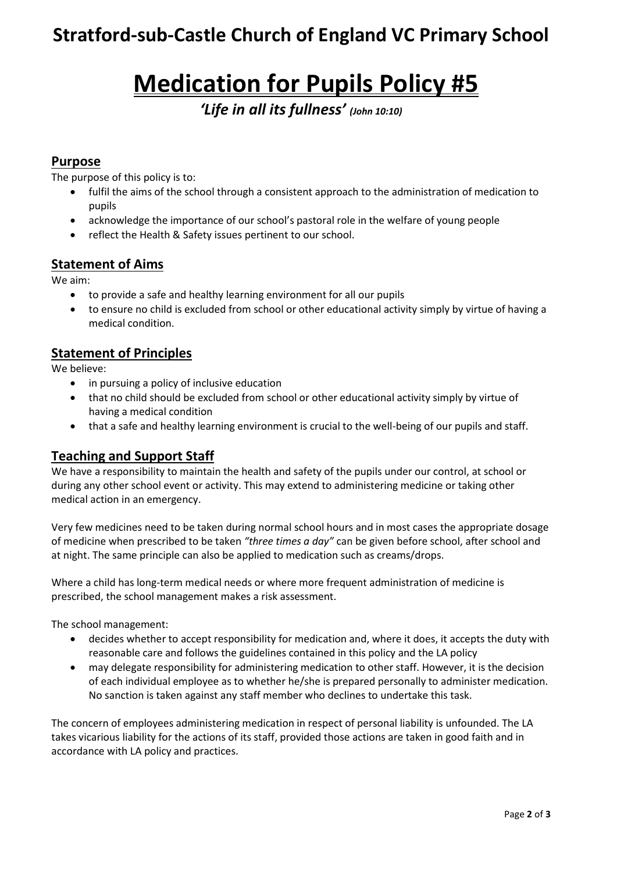## **Stratford-sub-Castle Church of England VC Primary School**

## **Medication for Pupils Policy #5**

*'Life in all its fullness' (John 10:10)*

#### **Purpose**

The purpose of this policy is to:

- fulfil the aims of the school through a consistent approach to the administration of medication to pupils
- acknowledge the importance of our school's pastoral role in the welfare of young people
- reflect the Health & Safety issues pertinent to our school.

#### **Statement of Aims**

We aim:

- to provide a safe and healthy learning environment for all our pupils
- to ensure no child is excluded from school or other educational activity simply by virtue of having a medical condition.

#### **Statement of Principles**

We believe:

- in pursuing a policy of inclusive education
- that no child should be excluded from school or other educational activity simply by virtue of having a medical condition
- that a safe and healthy learning environment is crucial to the well-being of our pupils and staff.

#### **Teaching and Support Staff**

We have a responsibility to maintain the health and safety of the pupils under our control, at school or during any other school event or activity. This may extend to administering medicine or taking other medical action in an emergency.

Very few medicines need to be taken during normal school hours and in most cases the appropriate dosage of medicine when prescribed to be taken *"three times a day"* can be given before school, after school and at night. The same principle can also be applied to medication such as creams/drops.

Where a child has long-term medical needs or where more frequent administration of medicine is prescribed, the school management makes a risk assessment.

The school management:

- decides whether to accept responsibility for medication and, where it does, it accepts the duty with reasonable care and follows the guidelines contained in this policy and the LA policy
- may delegate responsibility for administering medication to other staff. However, it is the decision of each individual employee as to whether he/she is prepared personally to administer medication. No sanction is taken against any staff member who declines to undertake this task.

The concern of employees administering medication in respect of personal liability is unfounded. The LA takes vicarious liability for the actions of its staff, provided those actions are taken in good faith and in accordance with LA policy and practices.